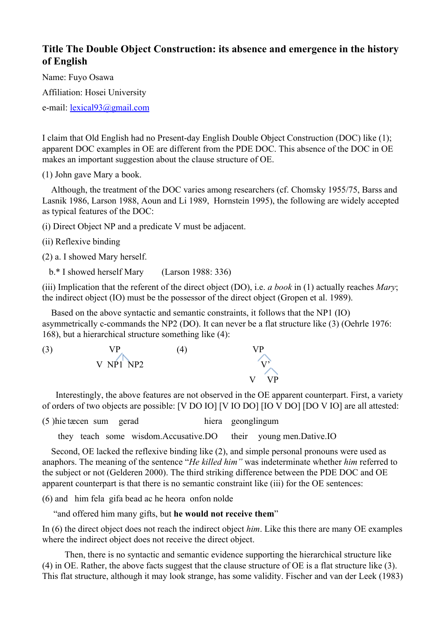## **Title The Double Object Construction: its absence and emergence in the history of English**

Name: Fuyo Osawa Affiliation: Hosei University e-mail: <u>[lexical93@gmail.com](mailto:lexical93@gmail.com)</u>

I claim that Old English had no Present-day English Double Object Construction (DOC) like (1); apparent DOC examples in OE are different from the PDE DOC. This absence of the DOC in OE makes an important suggestion about the clause structure of OE.

(1) John gave Mary a book.

 Although, the treatment of the DOC varies among researchers (cf. Chomsky 1955/75, Barss and Lasnik 1986, Larson 1988, Aoun and Li 1989, Hornstein 1995), the following are widely accepted as typical features of the DOC:

(i) Direct Object NP and a predicate V must be adjacent.

(ii) Reflexive binding

(2) a. I showed Mary herself.

b.\* I showed herself Mary (Larson 1988: 336)

(iii) Implication that the referent of the direct object (DO), i.e. *a book* in (1) actually reaches *Mary*; the indirect object (IO) must be the possessor of the direct object (Gropen et al. 1989).

Based on the above syntactic and semantic constraints, it follows that the NP1 (IO) asymmetrically c-commands the NP2 (DO). It can never be a flat structure like  $(3)$  (Oehrle 1976: 168), but a hierarchical structure something like (4):



Interestingly, the above features are not observed in the OE apparent counterpart. First, a variety of orders of two objects are possible: [V DO IO] [V IO DO] [IO V DO] [DO V IO] are all attested:

(5 )hie tæcen sum gerad hiera geonglingum

they teach some wisdom.Accusative.DO their young men.Dative.IO

Second, OE lacked the reflexive binding like (2), and simple personal pronouns were used as anaphors. The meaning of the sentence "*He killed him"* was indeterminate whether *him* referred to the subject or not (Gelderen 2000). The third striking difference between the PDE DOC and OE apparent counterpart is that there is no semantic constraint like (iii) for the OE sentences:

(6) and him fela gifa bead ac he heora onfon nolde

"and offered him many gifts, but **he would not receive them**"

In (6) the direct object does not reach the indirect object *him*. Like this there are many OE examples where the indirect object does not receive the direct object.

 Then, there is no syntactic and semantic evidence supporting the hierarchical structure like (4) in OE. Rather, the above facts suggest that the clause structure of OE is a flat structure like (3). This flat structure, although it may look strange, has some validity. Fischer and van der Leek (1983)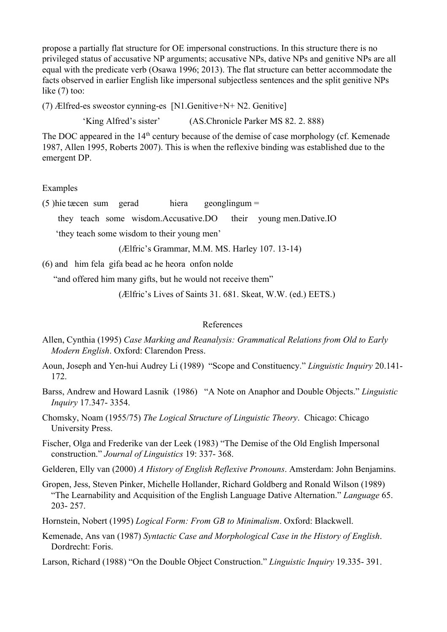propose a partially flat structure for OE impersonal constructions. In this structure there is no privileged status of accusative NP arguments; accusative NPs, dative NPs and genitive NPs are all equal with the predicate verb (Osawa 1996; 2013). The flat structure can better accommodate the facts observed in earlier English like impersonal subjectless sentences and the split genitive NPs like (7) too:

(7) Ælfred-es sweostor cynning-es  $[N1.Genitive+N+N2.Genitive]$ 

'King Alfred's sister' (AS.Chronicle Parker MS 82. 2. 888)

The DOC appeared in the 14<sup>th</sup> century because of the demise of case morphology (cf. Kemenade 1987, Allen 1995, Roberts 2007). This is when the reflexive binding was established due to the emergent DP.

## Examples

(5 )hie tæcen sum gerad hiera geonglingum =

they teach some wisdom.Accusative.DO their young men.Dative.IO

'they teach some wisdom to their young men'

(Ælfric's Grammar, M.M. MS. Harley 107. 13-14)

(6) and him fela gifa bead ac he heora onfon nolde

"and offered him many gifts, but he would not receive them"

(Ælfric's Lives of Saints 31. 681. Skeat, W.W. (ed.) EETS.)

## References

- Allen, Cynthia (1995) *Case Marking and Reanalysis: Grammatical Relations from Old to Early Modern English*. Oxford: Clarendon Press.
- Aoun, Joseph and Yen-hui Audrey Li (1989) "Scope and Constituency." *Linguistic Inquiry* 20.141-172.
- Barss, Andrew and Howard Lasnik (1986) "A Note on Anaphor and Double Objects." *Linguistic Inquiry* 17.347-3354.
- Chomsky, Noam (1955/75) *The Logical Structure of Linguistic Theory*. Chicago: Chicago University Press.

Fischer, Olga and Frederike van der Leek (1983) "The Demise of the Old English Impersonal construction." Journal of Linguistics 19: 337- 368.

Gelderen, Elly van (2000) *A History of English Reflexive Pronouns*. Amsterdam: John Benjamins.

Gropen, Jess, Steven Pinker, Michelle Hollander, Richard Goldberg and Ronald Wilson (1989) "The Learnability and Acquisition of the English Language Dative Alternation." *Language* 65. 203 - 257.

Hornstein, Nobert (1995) *Logical Form: From GB to Minimalism*. Oxford: Blackwell.

Kemenade, Ans van (1987) *Syntactic Case and Morphological Case in the History of English*. Dordrecht: Foris.

Larson, Richard (1988) "On the Double Object Construction." *Linguistic Inquiry* 19.335-391.